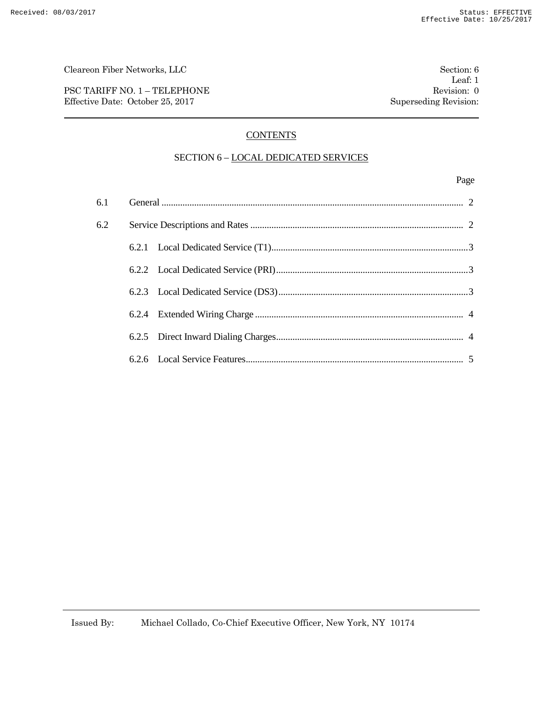PSC TARIFF NO. 1 – TELEPHONE Revision: 0 Effective Date: October 25, 2017 Superseding Revision:

## **CONTENTS**

## SECTION 6 - LOCAL DEDICATED SERVICES

## Page

| 6.1 |  |  |
|-----|--|--|
| 6.2 |  |  |
|     |  |  |
|     |  |  |
|     |  |  |
|     |  |  |
|     |  |  |
|     |  |  |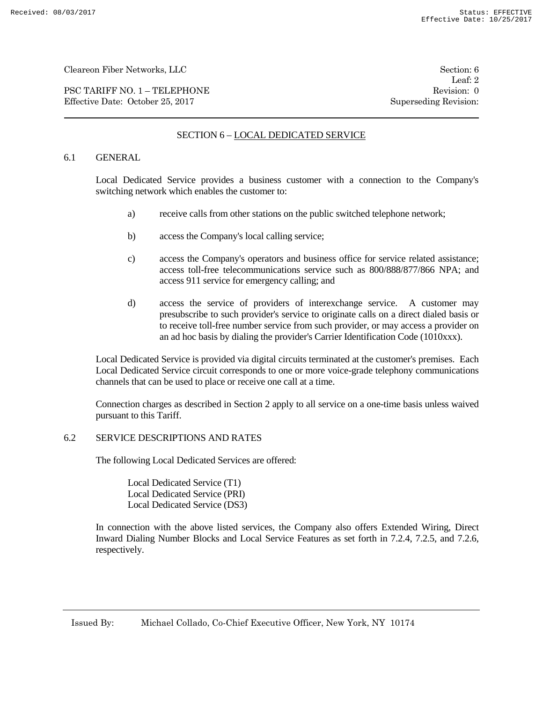PSC TARIFF NO. 1 – TELEPHONE Revision: 0 Effective Date: October 25, 2017 Superseding Revision:

Leaf: 2

## SECTION 6 – LOCAL DEDICATED SERVICE

### 6.1 GENERAL

Local Dedicated Service provides a business customer with a connection to the Company's switching network which enables the customer to:

- a) receive calls from other stations on the public switched telephone network;
- b) access the Company's local calling service;
- c) access the Company's operators and business office for service related assistance; access toll-free telecommunications service such as 800/888/877/866 NPA; and access 911 service for emergency calling; and
- d) access the service of providers of interexchange service. A customer may presubscribe to such provider's service to originate calls on a direct dialed basis or to receive toll-free number service from such provider, or may access a provider on an ad hoc basis by dialing the provider's Carrier Identification Code (1010xxx).

Local Dedicated Service is provided via digital circuits terminated at the customer's premises. Each Local Dedicated Service circuit corresponds to one or more voice-grade telephony communications channels that can be used to place or receive one call at a time.

Connection charges as described in Section 2 apply to all service on a one-time basis unless waived pursuant to this Tariff.

#### 6.2 SERVICE DESCRIPTIONS AND RATES

The following Local Dedicated Services are offered:

Local Dedicated Service (T1) Local Dedicated Service (PRI) Local Dedicated Service (DS3)

In connection with the above listed services, the Company also offers Extended Wiring, Direct Inward Dialing Number Blocks and Local Service Features as set forth in 7.2.4, 7.2.5, and 7.2.6, respectively.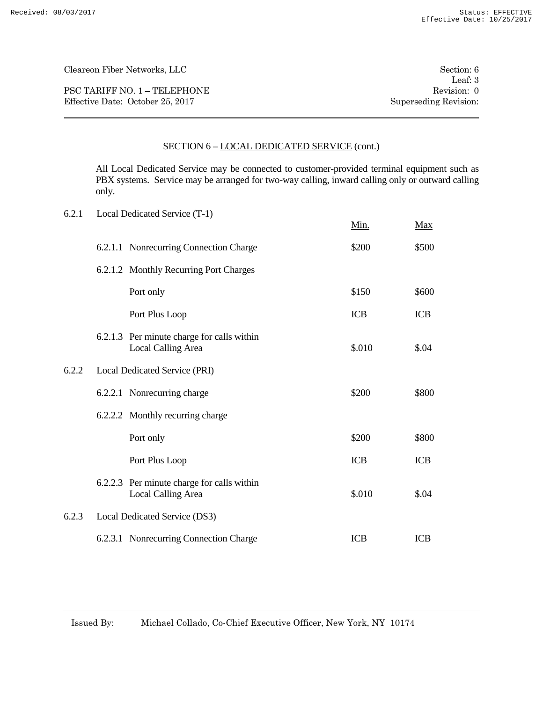PSC TARIFF NO. 1 – TELEPHONE Revision: 0 Effective Date: October 25, 2017 Superseding Revision:

Leaf: 3

## SECTION 6 – LOCAL DEDICATED SERVICE (cont.)

All Local Dedicated Service may be connected to customer-provided terminal equipment such as PBX systems. Service may be arranged for two-way calling, inward calling only or outward calling only.

| 6.2.1 | Local Dedicated Service (T-1)                                           |            |            |
|-------|-------------------------------------------------------------------------|------------|------------|
|       |                                                                         | Min.       | <b>Max</b> |
|       | 6.2.1.1 Nonrecurring Connection Charge                                  | \$200      | \$500      |
|       | 6.2.1.2 Monthly Recurring Port Charges                                  |            |            |
|       | Port only                                                               | \$150      | \$600      |
|       | Port Plus Loop                                                          | <b>ICB</b> | <b>ICB</b> |
|       | 6.2.1.3 Per minute charge for calls within<br><b>Local Calling Area</b> | \$.010     | \$.04      |
| 6.2.2 | Local Dedicated Service (PRI)                                           |            |            |
|       | 6.2.2.1 Nonrecurring charge                                             | \$200      | \$800      |
|       | 6.2.2.2 Monthly recurring charge                                        |            |            |
|       | Port only                                                               | \$200      | \$800      |
|       | Port Plus Loop                                                          | <b>ICB</b> | <b>ICB</b> |
|       | 6.2.2.3 Per minute charge for calls within<br><b>Local Calling Area</b> | \$.010     | \$.04      |
| 6.2.3 | Local Dedicated Service (DS3)                                           |            |            |
|       | 6.2.3.1 Nonrecurring Connection Charge                                  | <b>ICB</b> | <b>ICB</b> |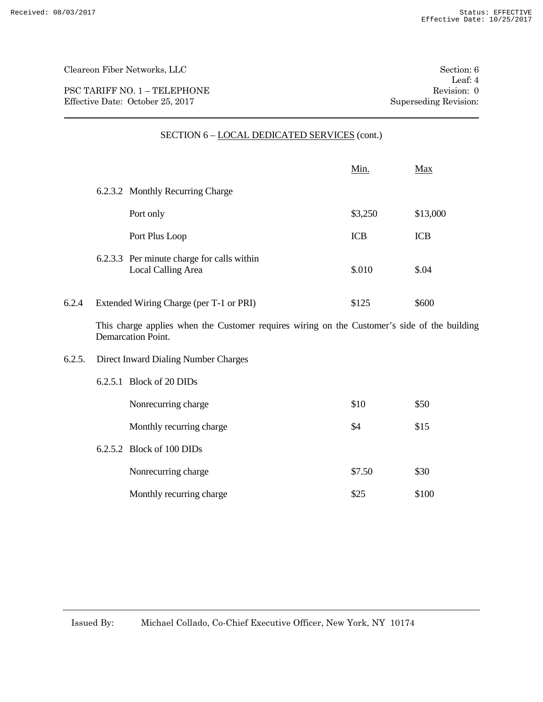PSC TARIFF NO. 1 – TELEPHONE Revision: 0 Effective Date: October 25, 2017 Superseding Revision:

6.2.5.2 Block of 100 DIDs

Leaf: 4

|        |                                                                                                                           | <u>Min.</u> | Max        |
|--------|---------------------------------------------------------------------------------------------------------------------------|-------------|------------|
|        | 6.2.3.2 Monthly Recurring Charge                                                                                          |             |            |
|        | Port only                                                                                                                 | \$3,250     | \$13,000   |
|        | Port Plus Loop                                                                                                            | <b>ICB</b>  | <b>ICB</b> |
|        | 6.2.3.3 Per minute charge for calls within<br>Local Calling Area                                                          | \$.010      | \$04       |
| 6.2.4  | Extended Wiring Charge (per T-1 or PRI)                                                                                   | \$125       | \$600      |
|        | This charge applies when the Customer requires wiring on the Customer's side of the building<br><b>Demarcation Point.</b> |             |            |
| 6.2.5. | Direct Inward Dialing Number Charges                                                                                      |             |            |
|        | 6.2.5.1 Block of 20 DIDs                                                                                                  |             |            |
|        | Nonrecurring charge                                                                                                       | \$10        | \$50       |
|        |                                                                                                                           |             |            |

Monthly recurring charge \$4 \$15

Nonrecurring charge \$7.50 \$30

Monthly recurring charge \$25 \$100

# SECTION 6 – LOCAL DEDICATED SERVICES (cont.)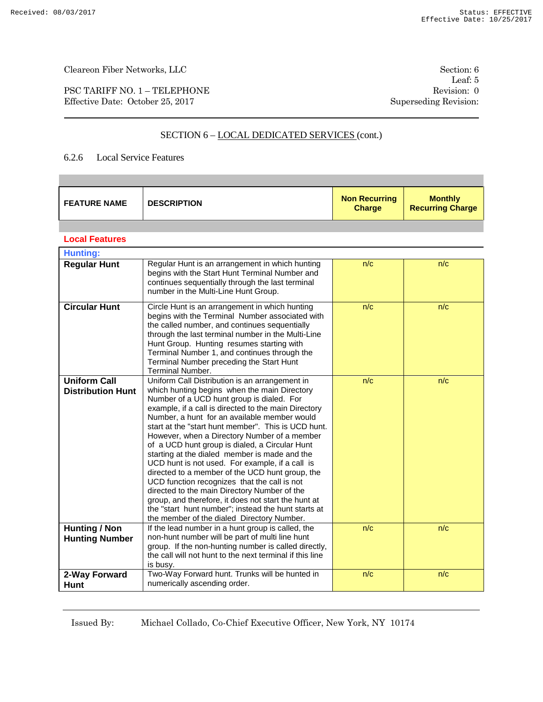×

Cleareon Fiber Networks, LLC Section: 6

PSC TARIFF NO. 1 – TELEPHONE Revision: 0 Effective Date: October 25, 2017 Superseding Revision:

Leaf: 5

# SECTION 6 - LOCAL DEDICATED SERVICES (cont.)

### 6.2.6 Local Service Features

| <b>FEATURE NAME</b>                             | <b>DESCRIPTION</b>                                                                                                                                                                                                                                                                                                                                                                                                                                                                                                                                                                                                                                                                                                                                                                                                              | <b>Non Recurring</b><br><b>Charge</b> | <b>Monthly</b><br><b>Recurring Charge</b> |
|-------------------------------------------------|---------------------------------------------------------------------------------------------------------------------------------------------------------------------------------------------------------------------------------------------------------------------------------------------------------------------------------------------------------------------------------------------------------------------------------------------------------------------------------------------------------------------------------------------------------------------------------------------------------------------------------------------------------------------------------------------------------------------------------------------------------------------------------------------------------------------------------|---------------------------------------|-------------------------------------------|
|                                                 |                                                                                                                                                                                                                                                                                                                                                                                                                                                                                                                                                                                                                                                                                                                                                                                                                                 |                                       |                                           |
| <b>Local Features</b>                           |                                                                                                                                                                                                                                                                                                                                                                                                                                                                                                                                                                                                                                                                                                                                                                                                                                 |                                       |                                           |
| <b>Hunting:</b>                                 |                                                                                                                                                                                                                                                                                                                                                                                                                                                                                                                                                                                                                                                                                                                                                                                                                                 |                                       |                                           |
| <b>Regular Hunt</b>                             | Regular Hunt is an arrangement in which hunting<br>begins with the Start Hunt Terminal Number and<br>continues sequentially through the last terminal<br>number in the Multi-Line Hunt Group.                                                                                                                                                                                                                                                                                                                                                                                                                                                                                                                                                                                                                                   | n/c                                   | n/c                                       |
| <b>Circular Hunt</b>                            | Circle Hunt is an arrangement in which hunting<br>begins with the Terminal Number associated with<br>the called number, and continues sequentially<br>through the last terminal number in the Multi-Line<br>Hunt Group. Hunting resumes starting with<br>Terminal Number 1, and continues through the<br>Terminal Number preceding the Start Hunt<br>Terminal Number.                                                                                                                                                                                                                                                                                                                                                                                                                                                           | n/c                                   | n/c                                       |
| <b>Uniform Call</b><br><b>Distribution Hunt</b> | Uniform Call Distribution is an arrangement in<br>which hunting begins when the main Directory<br>Number of a UCD hunt group is dialed. For<br>example, if a call is directed to the main Directory<br>Number, a hunt for an available member would<br>start at the "start hunt member". This is UCD hunt.<br>However, when a Directory Number of a member<br>of a UCD hunt group is dialed, a Circular Hunt<br>starting at the dialed member is made and the<br>UCD hunt is not used. For example, if a call is<br>directed to a member of the UCD hunt group, the<br>UCD function recognizes that the call is not<br>directed to the main Directory Number of the<br>group, and therefore, it does not start the hunt at<br>the "start hunt number"; instead the hunt starts at<br>the member of the dialed Directory Number. | n/c                                   | n/c                                       |
| <b>Hunting / Non</b><br><b>Hunting Number</b>   | If the lead number in a hunt group is called, the<br>non-hunt number will be part of multi line hunt<br>group. If the non-hunting number is called directly,<br>the call will not hunt to the next terminal if this line<br>is busy.                                                                                                                                                                                                                                                                                                                                                                                                                                                                                                                                                                                            | n/c                                   | n/c                                       |
| 2-Way Forward<br><b>Hunt</b>                    | Two-Way Forward hunt. Trunks will be hunted in<br>numerically ascending order.                                                                                                                                                                                                                                                                                                                                                                                                                                                                                                                                                                                                                                                                                                                                                  | n/c                                   | n/c                                       |

Issued By: Michael Collado, Co-Chief Executive Officer, New York, NY 10174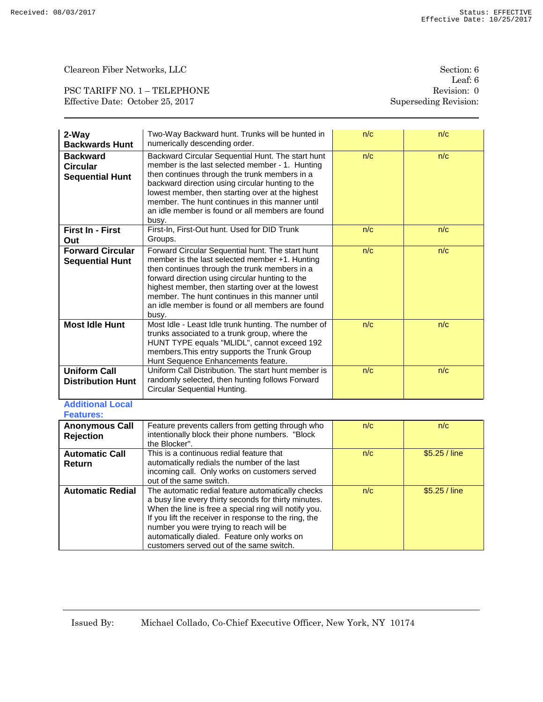PSC TARIFF NO. 1 – TELEPHONE Revision: 0 Effective Date: October 25, 2017 Superseding Revision:

| 2-Way<br><b>Backwards Hunt</b>                               | Two-Way Backward hunt. Trunks will be hunted in<br>numerically descending order.                                                                                                                                                                                                                                                                                              | n/c | n/c           |
|--------------------------------------------------------------|-------------------------------------------------------------------------------------------------------------------------------------------------------------------------------------------------------------------------------------------------------------------------------------------------------------------------------------------------------------------------------|-----|---------------|
| <b>Backward</b><br><b>Circular</b><br><b>Sequential Hunt</b> | Backward Circular Sequential Hunt. The start hunt<br>member is the last selected member - 1. Hunting<br>then continues through the trunk members in a<br>backward direction using circular hunting to the<br>lowest member, then starting over at the highest<br>member. The hunt continues in this manner until<br>an idle member is found or all members are found<br>busy. | n/c | n/c           |
| First In - First<br>Out                                      | First-In, First-Out hunt. Used for DID Trunk<br>Groups.                                                                                                                                                                                                                                                                                                                       | n/c | n/c           |
| <b>Forward Circular</b><br><b>Sequential Hunt</b>            | Forward Circular Sequential hunt. The start hunt<br>member is the last selected member +1. Hunting<br>then continues through the trunk members in a<br>forward direction using circular hunting to the<br>highest member, then starting over at the lowest<br>member. The hunt continues in this manner until<br>an idle member is found or all members are found<br>busy.    | n/c | n/c           |
| <b>Most Idle Hunt</b>                                        | Most Idle - Least Idle trunk hunting. The number of<br>trunks associated to a trunk group, where the<br>HUNT TYPE equals "MLIDL", cannot exceed 192<br>members. This entry supports the Trunk Group<br>Hunt Sequence Enhancements feature.                                                                                                                                    | n/c | n/c           |
| <b>Uniform Call</b><br><b>Distribution Hunt</b>              | Uniform Call Distribution. The start hunt member is<br>randomly selected, then hunting follows Forward<br>Circular Sequential Hunting.                                                                                                                                                                                                                                        | n/c | n/c           |
| <b>Additional Local</b><br><b>Features:</b>                  |                                                                                                                                                                                                                                                                                                                                                                               |     |               |
| <b>Anonymous Call</b><br><b>Rejection</b>                    | Feature prevents callers from getting through who<br>intentionally block their phone numbers. "Block<br>the Blocker".                                                                                                                                                                                                                                                         | n/c | n/c           |
| <b>Automatic Call</b><br>Return                              | This is a continuous redial feature that<br>automatically redials the number of the last<br>incoming call. Only works on customers served<br>out of the same switch.                                                                                                                                                                                                          | n/c | \$5.25 / line |
| <b>Automatic Redial</b>                                      | The automatic redial feature automatically checks<br>a busy line every thirty seconds for thirty minutes.<br>When the line is free a special ring will notify you.<br>If you lift the receiver in response to the ring, the<br>number you were trying to reach will be<br>automatically dialed. Feature only works on<br>customers served out of the same switch.             | n/c | \$5.25 / line |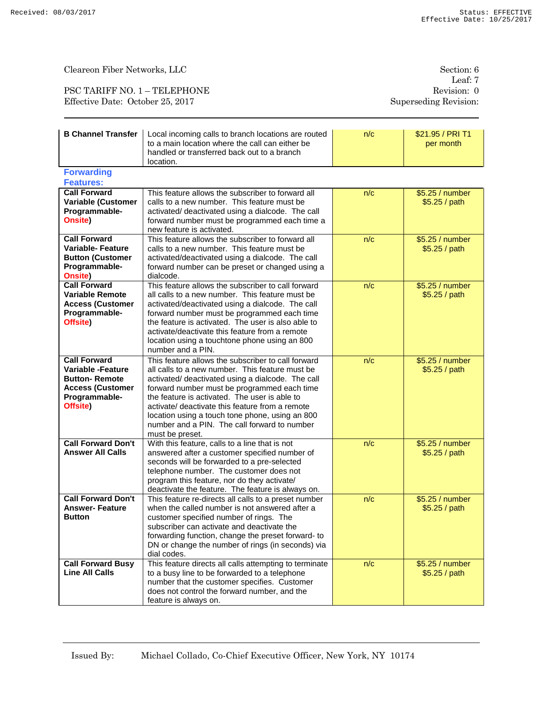PSC TARIFF NO. 1 – TELEPHONE Revision: 0 Effective Date: October 25, 2017 Superseding Revision:

| <b>B Channel Transfer</b><br>Local incoming calls to branch locations are routed<br>to a main location where the call can either be<br>handled or transferred back out to a branch<br>location. |                                                                                                                                                                                                                                                                                                                                                                                                                                     | n/c | \$21.95 / PRI T1<br>per month    |
|-------------------------------------------------------------------------------------------------------------------------------------------------------------------------------------------------|-------------------------------------------------------------------------------------------------------------------------------------------------------------------------------------------------------------------------------------------------------------------------------------------------------------------------------------------------------------------------------------------------------------------------------------|-----|----------------------------------|
| <b>Forwarding</b><br><b>Features:</b>                                                                                                                                                           |                                                                                                                                                                                                                                                                                                                                                                                                                                     |     |                                  |
| <b>Call Forward</b><br>Variable (Customer<br>Programmable-<br>Onsite)                                                                                                                           | This feature allows the subscriber to forward all<br>calls to a new number. This feature must be<br>activated/ deactivated using a dialcode. The call<br>forward number must be programmed each time a<br>new feature is activated.                                                                                                                                                                                                 | n/c | \$5.25 / number<br>\$5.25 / path |
| <b>Call Forward</b><br><b>Variable-Feature</b><br><b>Button (Customer</b><br>Programmable-<br>Onsite)                                                                                           | This feature allows the subscriber to forward all<br>calls to a new number. This feature must be<br>activated/deactivated using a dialcode. The call<br>forward number can be preset or changed using a<br>dialcode.                                                                                                                                                                                                                | n/c | \$5.25 / number<br>\$5.25 / path |
| <b>Call Forward</b><br><b>Variable Remote</b><br><b>Access (Customer</b><br>Programmable-<br>Offsite)                                                                                           | This feature allows the subscriber to call forward<br>all calls to a new number. This feature must be<br>activated/deactivated using a dialcode. The call<br>forward number must be programmed each time<br>the feature is activated. The user is also able to<br>activate/deactivate this feature from a remote<br>location using a touchtone phone using an 800<br>number and a PIN.                                              | n/c | \$5.25 / number<br>\$5.25 / path |
| <b>Call Forward</b><br>Variable -Feature<br><b>Button-Remote</b><br><b>Access (Customer</b><br>Programmable-<br>Offsite)                                                                        | This feature allows the subscriber to call forward<br>all calls to a new number. This feature must be<br>activated/ deactivated using a dialcode. The call<br>forward number must be programmed each time<br>the feature is activated. The user is able to<br>activate/ deactivate this feature from a remote<br>location using a touch tone phone, using an 800<br>number and a PIN. The call forward to number<br>must be preset. | n/c | \$5.25 / number<br>\$5.25 / path |
| <b>Call Forward Don't</b><br><b>Answer All Calls</b>                                                                                                                                            | With this feature, calls to a line that is not<br>answered after a customer specified number of<br>seconds will be forwarded to a pre-selected<br>telephone number. The customer does not<br>program this feature, nor do they activate/<br>deactivate the feature. The feature is always on.                                                                                                                                       | n/c | \$5.25 / number<br>\$5.25 / path |
| <b>Call Forward Don't</b><br><b>Answer-Feature</b><br><b>Button</b>                                                                                                                             | This feature re-directs all calls to a preset number<br>when the called number is not answered after a<br>customer specified number of rings. The<br>subscriber can activate and deactivate the<br>forwarding function, change the preset forward- to<br>DN or change the number of rings (in seconds) via<br>dial codes.                                                                                                           | n/c | \$5.25 / number<br>\$5.25 / path |
| <b>Call Forward Busy</b><br><b>Line All Calls</b>                                                                                                                                               | This feature directs all calls attempting to terminate<br>to a busy line to be forwarded to a telephone<br>number that the customer specifies. Customer<br>does not control the forward number, and the<br>feature is always on.                                                                                                                                                                                                    | n/c | \$5.25 / number<br>\$5.25 / path |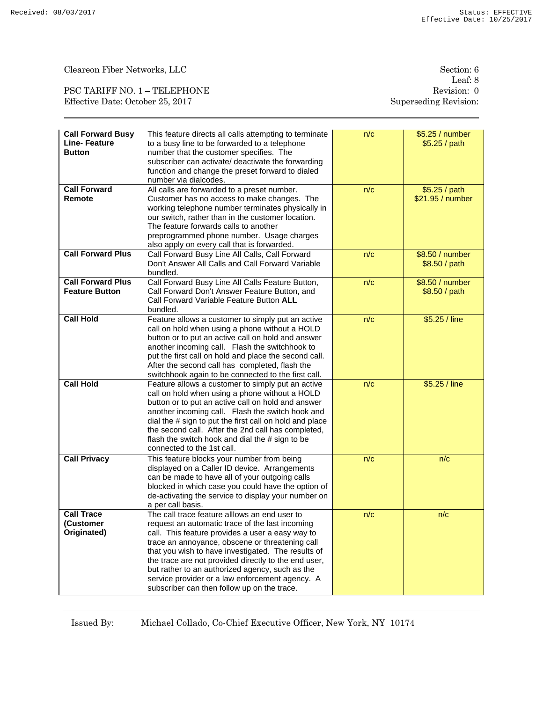PSC TARIFF NO. 1 – TELEPHONE Revision: 0 Effective Date: October 25, 2017 Superseding Revision:

Leaf: 8

| <b>Call Forward Busy</b><br><b>Line-Feature</b><br><b>Button</b> | This feature directs all calls attempting to terminate<br>to a busy line to be forwarded to a telephone<br>number that the customer specifies. The<br>subscriber can activate/ deactivate the forwarding<br>function and change the preset forward to dialed<br>number via dialcodes.                                                                                                                                                                                      | n/c | \$5.25 / number<br>\$5.25/path    |
|------------------------------------------------------------------|----------------------------------------------------------------------------------------------------------------------------------------------------------------------------------------------------------------------------------------------------------------------------------------------------------------------------------------------------------------------------------------------------------------------------------------------------------------------------|-----|-----------------------------------|
| <b>Call Forward</b><br>Remote                                    | All calls are forwarded to a preset number.<br>Customer has no access to make changes. The<br>working telephone number terminates physically in<br>our switch, rather than in the customer location.<br>The feature forwards calls to another<br>preprogrammed phone number. Usage charges<br>also apply on every call that is forwarded.                                                                                                                                  | n/c | \$5.25 / path<br>\$21.95 / number |
| <b>Call Forward Plus</b>                                         | Call Forward Busy Line All Calls, Call Forward<br>Don't Answer All Calls and Call Forward Variable<br>bundled.                                                                                                                                                                                                                                                                                                                                                             | n/c | \$8.50 / number<br>\$8.50 / path  |
| <b>Call Forward Plus</b><br><b>Feature Button</b>                | Call Forward Busy Line All Calls Feature Button,<br>Call Forward Don't Answer Feature Button, and<br>Call Forward Variable Feature Button ALL<br>bundled.                                                                                                                                                                                                                                                                                                                  | n/c | \$8.50 / number<br>\$8.50 / path  |
| <b>Call Hold</b>                                                 | Feature allows a customer to simply put an active<br>call on hold when using a phone without a HOLD<br>button or to put an active call on hold and answer<br>another incoming call. Flash the switchhook to<br>put the first call on hold and place the second call.<br>After the second call has completed, flash the<br>switchhook again to be connected to the first call.                                                                                              | n/c | \$5.25 / line                     |
| <b>Call Hold</b>                                                 | Feature allows a customer to simply put an active<br>call on hold when using a phone without a HOLD<br>button or to put an active call on hold and answer<br>another incoming call. Flash the switch hook and<br>dial the # sign to put the first call on hold and place<br>the second call. After the 2nd call has completed,<br>flash the switch hook and dial the # sign to be<br>connected to the 1st call.                                                            | n/c | \$5.25 / line                     |
| <b>Call Privacy</b>                                              | This feature blocks your number from being<br>displayed on a Caller ID device. Arrangements<br>can be made to have all of your outgoing calls<br>blocked in which case you could have the option of<br>de-activating the service to display your number on<br>a per call basis.                                                                                                                                                                                            | n/c | n/c                               |
| <b>Call Trace</b><br>(Customer<br>Originated)                    | The call trace feature alllows an end user to<br>request an automatic trace of the last incoming<br>call. This feature provides a user a easy way to<br>trace an annoyance, obscene or threatening call<br>that you wish to have investigated. The results of<br>the trace are not provided directly to the end user,<br>but rather to an authorized agency, such as the<br>service provider or a law enforcement agency. A<br>subscriber can then follow up on the trace. | n/c | n/c                               |

Issued By: Michael Collado, Co-Chief Executive Officer, New York, NY 10174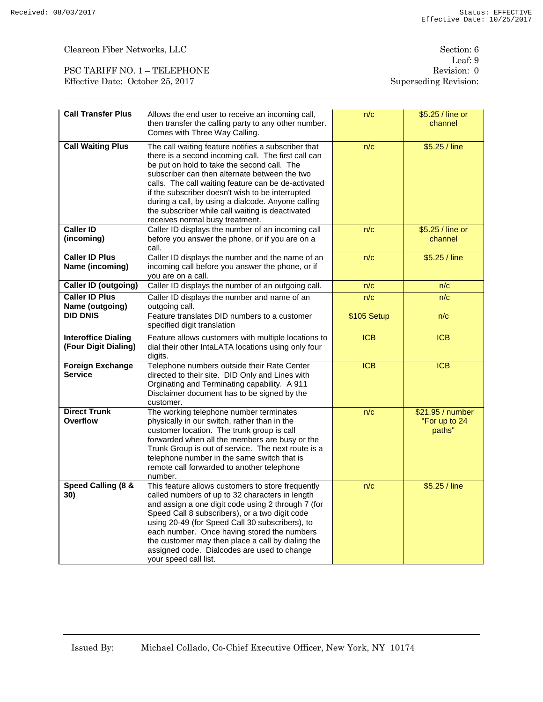$\begin{minipage}{.4\linewidth} \textbf{Cleareon Fiber Networks}, \textbf{LLC} \end{minipage}$ 

| PSC TARIFF NO. 1 - TELEPHONE     |  |
|----------------------------------|--|
| Effective Date: October 25, 2017 |  |

Leaf: 9 Revision: 0 Superseding Revision:

| <b>Call Transfer Plus</b>                          | Allows the end user to receive an incoming call,<br>then transfer the calling party to any other number.<br>Comes with Three Way Calling.                                                                                                                                                                                                                                                                                                                          | n/c              | \$5.25 / line or<br>channel                 |
|----------------------------------------------------|--------------------------------------------------------------------------------------------------------------------------------------------------------------------------------------------------------------------------------------------------------------------------------------------------------------------------------------------------------------------------------------------------------------------------------------------------------------------|------------------|---------------------------------------------|
| <b>Call Waiting Plus</b>                           | The call waiting feature notifies a subscriber that<br>there is a second incoming call. The first call can<br>be put on hold to take the second call. The<br>subscriber can then alternate between the two<br>calls. The call waiting feature can be de-activated<br>if the subscriber doesn't wish to be interrupted<br>during a call, by using a dialcode. Anyone calling<br>the subscriber while call waiting is deactivated<br>receives normal busy treatment. | n/c              | \$5.25 / line                               |
| <b>Caller ID</b><br>(incoming)                     | Caller ID displays the number of an incoming call<br>before you answer the phone, or if you are on a<br>call.                                                                                                                                                                                                                                                                                                                                                      | n/c              | \$5.25 / line or<br>channel                 |
| <b>Caller ID Plus</b><br>Name (incoming)           | Caller ID displays the number and the name of an<br>incoming call before you answer the phone, or if<br>you are on a call.                                                                                                                                                                                                                                                                                                                                         | n/c              | \$5.25 / line                               |
| <b>Caller ID (outgoing)</b>                        | Caller ID displays the number of an outgoing call.                                                                                                                                                                                                                                                                                                                                                                                                                 | n/c              | n/c                                         |
| <b>Caller ID Plus</b><br>Name (outgoing)           | Caller ID displays the number and name of an<br>outgoing call.                                                                                                                                                                                                                                                                                                                                                                                                     | n/c              | n/c                                         |
| <b>DID DNIS</b>                                    | Feature translates DID numbers to a customer<br>specified digit translation                                                                                                                                                                                                                                                                                                                                                                                        | \$105 Setup      | n/c                                         |
| <b>Interoffice Dialing</b><br>(Four Digit Dialing) | Feature allows customers with multiple locations to<br>dial their other IntaLATA locations using only four<br>digits.                                                                                                                                                                                                                                                                                                                                              | <b>ICB</b>       | <b>ICB</b>                                  |
| <b>Foreign Exchange</b><br><b>Service</b>          | Telephone numbers outside their Rate Center<br>directed to their site. DID Only and Lines with<br>Orginating and Terminating capability. A 911<br>Disclaimer document has to be signed by the<br>customer.                                                                                                                                                                                                                                                         | $\overline{ICB}$ | ICB                                         |
| <b>Direct Trunk</b><br>Overflow                    | The working telephone number terminates<br>physically in our switch, rather than in the<br>customer location. The trunk group is call<br>forwarded when all the members are busy or the<br>Trunk Group is out of service. The next route is a<br>telephone number in the same switch that is<br>remote call forwarded to another telephone<br>number.                                                                                                              | n/c              | \$21.95 / number<br>"For up to 24<br>paths" |
| Speed Calling (8 &<br>30)                          | This feature allows customers to store frequently<br>called numbers of up to 32 characters in length<br>and assign a one digit code using 2 through 7 (for<br>Speed Call 8 subscribers), or a two digit code<br>using 20-49 (for Speed Call 30 subscribers), to<br>each number. Once having stored the numbers<br>the customer may then place a call by dialing the<br>assigned code. Dialcodes are used to change<br>your speed call list.                        | n/c              | \$5.25 / line                               |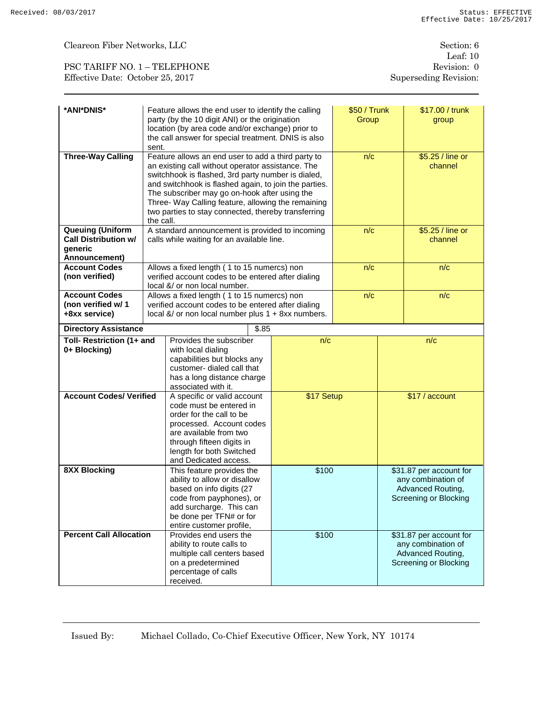$\begin{minipage}{.4\linewidth} \textbf{Cleareon Fiber Networks}, \textbf{LLC} \end{minipage}$ 

PSC TARIFF NO. 1 – TELEPHONE Revision: 0 Effective Date: October 25, 2017 Superseding Revision:

| *ANI*DNIS*                                                                         | Feature allows the end user to identify the calling<br>party (by the 10 digit ANI) or the origination<br>location (by area code and/or exchange) prior to<br>the call answer for special treatment. DNIS is also<br>sent.                                                                                                                                                                         |            | \$50 / Trunk<br>Group |                                                                                             | \$17.00 / trunk<br>group                                                                    |
|------------------------------------------------------------------------------------|---------------------------------------------------------------------------------------------------------------------------------------------------------------------------------------------------------------------------------------------------------------------------------------------------------------------------------------------------------------------------------------------------|------------|-----------------------|---------------------------------------------------------------------------------------------|---------------------------------------------------------------------------------------------|
| <b>Three-Way Calling</b>                                                           | Feature allows an end user to add a third party to<br>an existing call without operator assistance. The<br>switchhook is flashed, 3rd party number is dialed,<br>and switchhook is flashed again, to join the parties.<br>The subscriber may go on-hook after using the<br>Three- Way Calling feature, allowing the remaining<br>two parties to stay connected, thereby transferring<br>the call. |            | n/c                   |                                                                                             | \$5.25 / line or<br>channel                                                                 |
| <b>Queuing (Uniform</b><br><b>Call Distribution w/</b><br>generic<br>Announcement) | A standard announcement is provided to incoming<br>calls while waiting for an available line.                                                                                                                                                                                                                                                                                                     |            | n/c                   |                                                                                             | \$5.25 / line or<br>channel                                                                 |
| <b>Account Codes</b><br>(non verified)                                             | Allows a fixed length (1 to 15 numercs) non<br>verified account codes to be entered after dialing<br>local &/ or non local number.                                                                                                                                                                                                                                                                |            | n/c                   |                                                                                             | n/c                                                                                         |
| <b>Account Codes</b><br>(non verified w/ 1<br>+8xx service)                        | Allows a fixed length (1 to 15 numercs) non<br>verified account codes to be entered after dialing<br>local &/ or non local number plus 1 + 8xx numbers.                                                                                                                                                                                                                                           |            | n/c                   |                                                                                             | n/c                                                                                         |
| <b>Directory Assistance</b>                                                        | \$.85                                                                                                                                                                                                                                                                                                                                                                                             |            |                       |                                                                                             |                                                                                             |
| Toll- Restriction (1+ and<br>0+ Blocking)                                          | Provides the subscriber<br>with local dialing<br>capabilities but blocks any<br>customer- dialed call that<br>has a long distance charge<br>associated with it.                                                                                                                                                                                                                                   | n/c        |                       |                                                                                             | n/c                                                                                         |
| <b>Account Codes/ Verified</b>                                                     | A specific or valid account<br>code must be entered in<br>order for the call to be<br>processed. Account codes<br>are available from two<br>through fifteen digits in<br>length for both Switched<br>and Dedicated access.                                                                                                                                                                        | \$17 Setup |                       | \$17 / account                                                                              |                                                                                             |
| <b>8XX Blocking</b>                                                                | This feature provides the<br>ability to allow or disallow<br>based on info digits (27<br>code from payphones), or<br>add surcharge. This can<br>be done per TFN# or for<br>entire customer profile,                                                                                                                                                                                               | \$100      |                       | \$31.87 per account for<br>any combination of<br>Advanced Routing,<br>Screening or Blocking |                                                                                             |
| <b>Percent Call Allocation</b>                                                     | Provides end users the<br>ability to route calls to<br>multiple call centers based<br>on a predetermined<br>percentage of calls<br>received.                                                                                                                                                                                                                                                      | \$100      |                       |                                                                                             | \$31.87 per account for<br>any combination of<br>Advanced Routing,<br>Screening or Blocking |